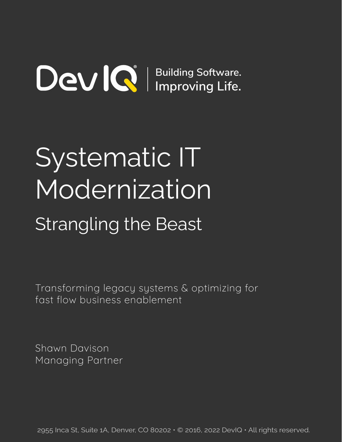# **Building Software. Improving Life.**

# Systematic IT Modernization Strangling the Beast

Transforming legacy systems & optimizing for fast flow business enablement

Shawn Davison Managing Partner

2955 Inca St, Suite 1A, Denver, CO 80202 • © 2016, 2022 DevIQ • All rights reserved.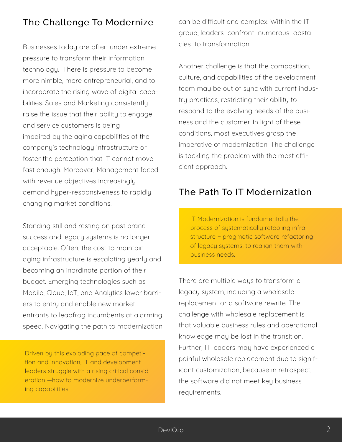## The Challenge To Modernize

Businesses today are often under extreme pressure to transform their information technology. There is pressure to become more nimble, more entrepreneurial, and to incorporate the rising wave of digital capabilities. Sales and Marketing consistently raise the issue that their ability to engage and service customers is being impaired by the aging capabilities of the company's technology infrastructure or foster the perception that IT cannot move fast enough. Moreover, Management faced with revenue objectives increasingly demand hyper-responsiveness to rapidly changing market conditions.

Standing still and resting on past brand success and legacy systems is no longer acceptable. Often, the cost to maintain aging infrastructure is escalating yearly and becoming an inordinate portion of their budget. Emerging technologies such as Mobile, Cloud, IoT, and Analytics lower barriers to entry and enable new market entrants to leapfrog incumbents at alarming speed. Navigating the path to modernization

Driven by this exploding pace of competition and innovation, IT and development leaders struggle with a rising critical consideration —how to modernize underperforming capabilities.

can be difficult and complex. Within the IT group, leaders confront numerous obstacles to transformation.

Another challenge is that the composition, culture, and capabilities of the development team may be out of sync with current industry practices, restricting their ability to respond to the evolving needs of the business and the customer. In light of these conditions, most executives grasp the imperative of modernization. The challenge is tackling the problem with the most efficient approach.

## The Path To IT Modernization

IT Modernization is fundamentally the process of systematically retooling infrastructure + pragmatic software refactoring of legacy systems, to realign them with business needs.

There are multiple ways to transform a legacy system, including a wholesale replacement or a software rewrite. The challenge with wholesale replacement is that valuable business rules and operational knowledge may be lost in the transition. Further, IT leaders may have experienced a painful wholesale replacement due to significant customization, because in retrospect, the software did not meet key business requirements.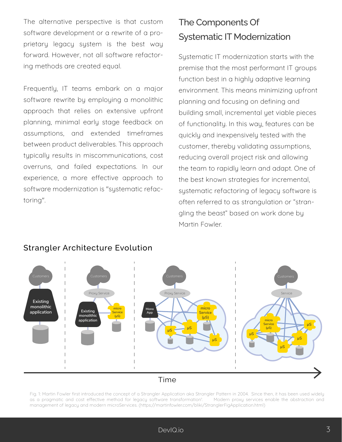The alternative perspective is that custom software development or a rewrite of a proprietary legacy system is the best way forward. However, not all software refactoring methods are created equal.

Frequently, IT teams embark on a major software rewrite by employing a monolithic approach that relies on extensive upfront planning, minimal early stage feedback on assumptions, and extended timeframes between product deliverables. This approach typically results in miscommunications, cost overruns, and failed expectations. In our experience, a more effective approach to software modernization is "systematic refactoring".

# The Components Of Systematic IT Modernization

Systematic IT modernization starts with the premise that the most performant IT groups function best in a highly adaptive learning environment. This means minimizing upfront planning and focusing on defining and building small, incremental yet viable pieces of functionality. In this way, features can be quickly and inexpensively tested with the customer, thereby validating assumptions, reducing overall project risk and allowing the team to rapidly learn and adapt. One of the best known strategies for incremental, systematic refactoring of legacy software is often referred to as strangulation or "strangling the beast" based on work done by Martin Fowler.



#### Strangler Architecture Evolution

Time

Fig. 1: Martin Fowler first introduced the concept of a Strangler Application aka Strangler Pattern in 2004. Since then, it has been used widely as a pragmatic and cost effective method for legacy software transformation<sup>1</sup>. Modern proxy services enable the abstraction and management of legacy and modern microServices. (https://martinfowler.com/bliki/StranglerFigApplication.html)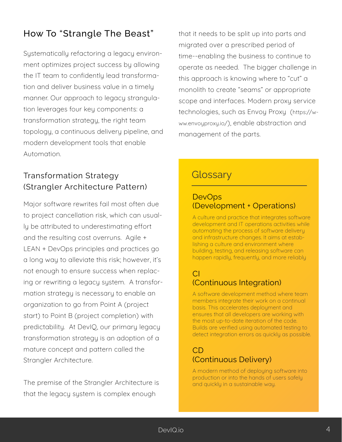# How To "Strangle The Beast"

Systematically refactoring a legacy environment optimizes project success by allowing the IT team to confidently lead transformation and deliver business value in a timely manner. Our approach to legacy strangulation leverages four key components: a transformation strategy, the right team topology, a continuous delivery pipeline, and modern development tools that enable Automation.

### Transformation Strategy (Strangler Architecture Pattern)

Major software rewrites fail most often due to project cancellation risk, which can usually be attributed to underestimating effort and the resulting cost overruns. Agile + LEAN + DevOps principles and practices go a long way to alleviate this risk; however, it's not enough to ensure success when replacing or rewriting a legacy system. A transformation strategy is necessary to enable an organization to go from Point A (project start) to Point B (project completion) with predictability. At DevIQ, our primary legacy transformation strategy is an adoption of a mature concept and pattern called the Strangler Architecture.

The premise of the Strangler Architecture is that the legacy system is complex enough

that it needs to be split up into parts and migrated over a prescribed period of time--enabling the business to continue to operate as needed. The bigger challenge in this approach is knowing where to "cut" a monolith to create "seams" or appropriate scope and interfaces. Modern proxy service technologies, such as Envoy Proxy (https://www.envoyproxy.io/), enable abstraction and management of the parts.

# **Glossary**

#### **DevOps** (Development + Operations)

A culture and practice that integrates software development and IT operations activities while automating the process of software delivery and infrastructure changes. It aims at establishing a culture and environment where building, testing, and releasing software can happen rapidly, frequently, and more reliably

#### CI (Continuous Integration)

A software development method where team members integrate their work on a continual basis. This accelerates deployment and ensures that all developers are working with the most up-to-date iteration of the code. Builds are verified using automated testing to detect integration errors as quickly as possible.

#### CD (Continuous Delivery)

A modern method of deploying software into production or into the hands of users safely and quickly in a sustainable way.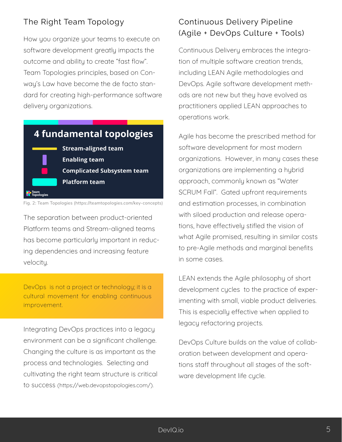#### The Right Team Topology

How you organize your teams to execute on software development greatly impacts the outcome and ability to create "fast flow". Team Topologies principles, based on Conway's Law have become the de facto standard for creating high-performance software delivery organizations.

# **4 fundamental topologies Stream-aligned team Enabling team Complicated Subsystem team Platform team**

Fig. 2: Team Topologies (https://teamtopologies.com/key-concepts)

The separation between product-oriented Platform teams and Stream-aligned teams has become particularly important in reducing dependencies and increasing feature velocity.

DevOps is not a project or technology; it is a cultural movement for enabling continuous improvement.

Integrating DevOps practices into a legacy environment can be a significant challenge. Changing the culture is as important as the process and technologies. Selecting and cultivating the right team structure is critical to success (https://web.devopstopologies.com/).

## Continuous Delivery Pipeline (Agile + DevOps Culture + Tools)

Continuous Delivery embraces the integration of multiple software creation trends, including LEAN Agile methodologies and DevOps. Agile software development methods are not new but they have evolved as practitioners applied LEAN approaches to operations work.

Agile has become the prescribed method for software development for most modern organizations. However, in many cases these organizations are implementing a hybrid approach, commonly known as "Water SCRUM Fall". Gated upfront requirements and estimation processes, in combination with siloed production and release operations, have effectively stifled the vision of what Agile promised, resulting in similar costs to pre-Agile methods and marginal benefits in some cases.

LEAN extends the Agile philosophy of short development cycles to the practice of experimenting with small, viable product deliveries. This is especially effective when applied to legacy refactoring projects.

DevOps Culture builds on the value of collaboration between development and operations staff throughout all stages of the software development life cycle.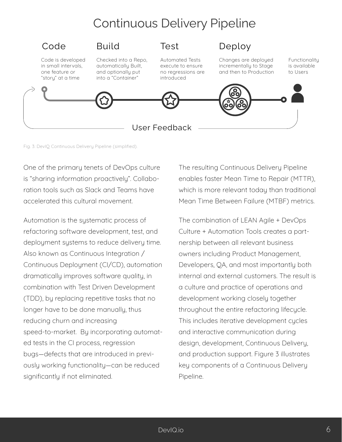# Continuous Delivery Pipeline



Fig. 3: DevIQ Continuous Delivery Pipeline (simplified).

One of the primary tenets of DevOps culture is "sharing information proactively". Collaboration tools such as Slack and Teams have accelerated this cultural movement.

Automation is the systematic process of refactoring software development, test, and deployment systems to reduce delivery time. Also known as Continuous Integration / Continuous Deployment (CI/CD), automation dramatically improves software quality, in combination with Test Driven Development (TDD), by replacing repetitive tasks that no longer have to be done manually, thus reducing churn and increasing speed-to-market. By incorporating automated tests in the CI process, regression bugs—defects that are introduced in previously working functionality—can be reduced significantly if not eliminated.

The resulting Continuous Delivery Pipeline enables faster Mean Time to Repair (MTTR), which is more relevant today than traditional Mean Time Between Failure (MTBF) metrics.

The combination of LEAN Agile + DevOps Culture + Automation Tools creates a partnership between all relevant business owners including Product Management, Developers, QA, and most importantly both internal and external customers. The result is a culture and practice of operations and development working closely together throughout the entire refactoring lifecycle. This includes iterative development cycles and interactive communication during design, development, Continuous Delivery, and production support. Figure 3 illustrates key components of a Continuous Delivery Pipeline.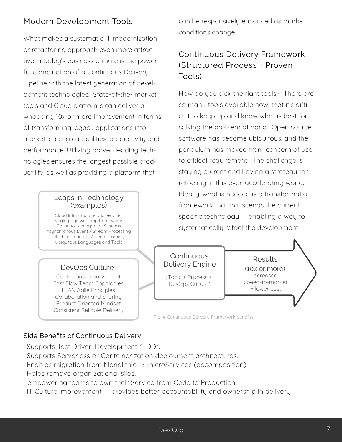#### Modern Development Tools

What makes a systematic IT modernization or refactoring approach even more attractive in today's business climate is the powerful combination of a Continuous Delivery Pipeline with the latest generation of development technologies. State-of-the- market tools and Cloud platforms can deliver a whopping 10x or more improvement in terms of transforming legacy applications into market leading capabilities, productivity and performance. Utilizing proven leading technologies ensures the longest possible product life, as well as providing a platform that

#### Leaps in Technology (examples)

Cloud Infrastructure and Services Single-page web app frameworks Continuous Integration Systems Asynchronous Event / Stream Processing Machine Learning / Deep Learning Ubiquitous Languages and Tools

#### DevOps Culture

Continuous Improvement Fast Flow Team Topologies LEAN Agile Principles Collaboration and Sharing Product Oriented Mindset Consistent Reliable Delivery can be responsively enhanced as market conditions change.

## Continuous Delivery Framework (Structured Process + Proven Tools)

How do you pick the right tools? There are so many tools available now, that it's difficult to keep up and know what is best for solving the problem at hand. Open source software has become ubiquitous, and the pendulum has moved from concern of use to critical requirement. The challenge is staying current and having a strategy for retooling in this ever-accelerating world. Ideally, what is needed is a transformation framework that transcends the current specific technology — enabling a way to systematically retool the development

#### **Continuous** Delivery Engine (Tools + Process +

DevOps Culture)

Increased speed-to-market + lower cost **Results** (10x or more)

Fig. 4: Continuous Delivery Framework benefits

#### Side Benefits of Continuous Delivery:

- · Supports Test Driven Development (TDD).
- · Supports Serverless or Containerization deployment architectures.
- · Enables migration from Monolithic → microServices (decomposition).
- · Helps remove organizational silos,

empowering teams to own their Service from Code to Production.

· IT Culture improvement — provides better accountability and ownership in delivery.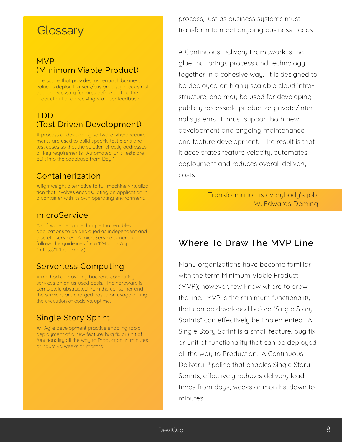# **Glossary**

#### MVP (Minimum Viable Product)

The scope that provides just enough business value to deploy to users/customers, yet does not add unnecessary features before getting the product out and receiving real user feedback.

#### TDD (Test Driven Development)

A process of developing software where requirements are used to build specific test plans and test cases so that the solution directly addresses all key requirements. Automated Unit Tests are built into the codebase from Day 1.

#### Containerization

A lightweight alternative to full machine virtualization that involves encapsulating an application in a container with its own operating environment.

#### microService

A software design technique that enables applications to be deployed as independent and discrete services. A microService generally follows the guidelines for a 12-factor App (https://12factor.net/).

#### Serverless Computing

A method of providing backend computing services on an as-used basis. The hardware is completely abstracted from the consumer and the services are charged based on usage during the execution of code vs. uptime.

#### Single Story Sprint

An Agile development practice enabling rapid deployment of a new feature, bug fix or unit of functionality all the way to Production, in minutes or hours vs. weeks or months.

process, just as business systems must transform to meet ongoing business needs.

A Continuous Delivery Framework is the glue that brings process and technology together in a cohesive way. It is designed to be deployed on highly scalable cloud infrastructure, and may be used for developing publicly accessible product or private/internal systems. It must support both new development and ongoing maintenance and feature development. The result is that it accelerates feature velocity, automates deployment and reduces overall delivery costs.

> Transformation is everybody's job. - W. Edwards Deming

# Where To Draw The MVP Line

Many organizations have become familiar with the term Minimum Viable Product (MVP); however, few know where to draw the line. MVP is the minimum functionality that can be developed before "Single Story Sprints" can effectively be implemented. A Single Story Sprint is a small feature, bug fix or unit of functionality that can be deployed all the way to Production. A Continuous Delivery Pipeline that enables Single Story Sprints, effectively reduces delivery lead times from days, weeks or months, down to minutes.